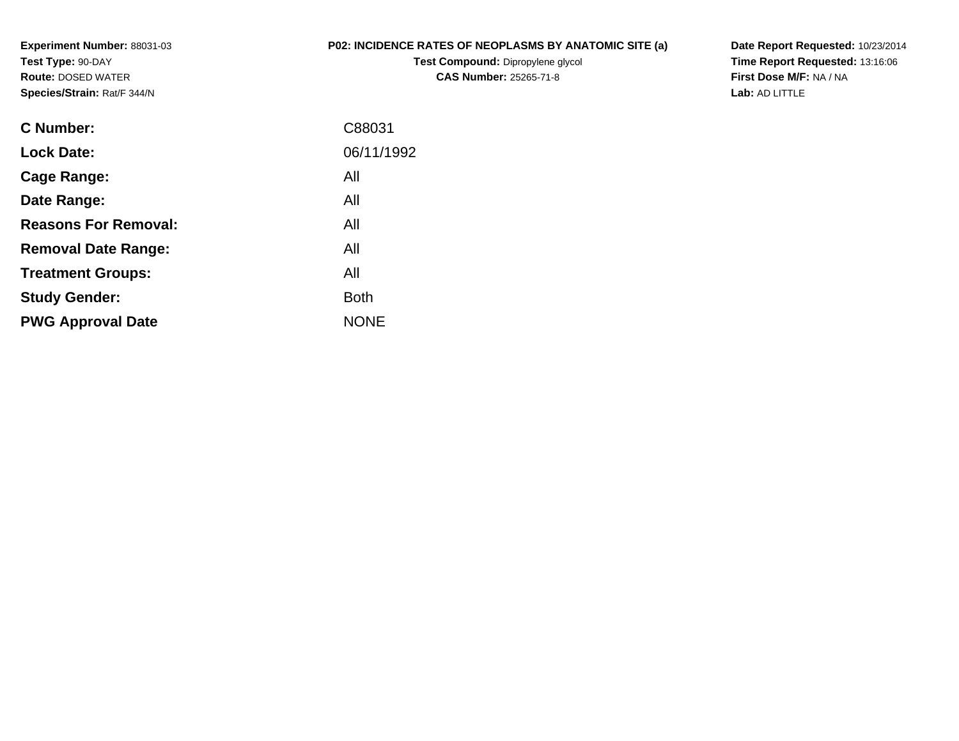**Experiment Number:** 88031-03**Test Type:** 90-DAY **Route:** DOSED WATER**Species/Strain:** Rat/F 344/N

## **P02: INCIDENCE RATES OF NEOPLASMS BY ANATOMIC SITE (a)**

**Test Compound:** Dipropylene glycol **CAS Number:** 25265-71-8

**Date Report Requested:** 10/23/2014 **Time Report Requested:** 13:16:06**First Dose M/F:** NA / NA**Lab:** AD LITTLE

| C Number:                   | C88031      |
|-----------------------------|-------------|
| <b>Lock Date:</b>           | 06/11/1992  |
| Cage Range:                 | All         |
| Date Range:                 | All         |
| <b>Reasons For Removal:</b> | All         |
| <b>Removal Date Range:</b>  | All         |
| <b>Treatment Groups:</b>    | All         |
| <b>Study Gender:</b>        | Both        |
| <b>PWG Approval Date</b>    | <b>NONE</b> |
|                             |             |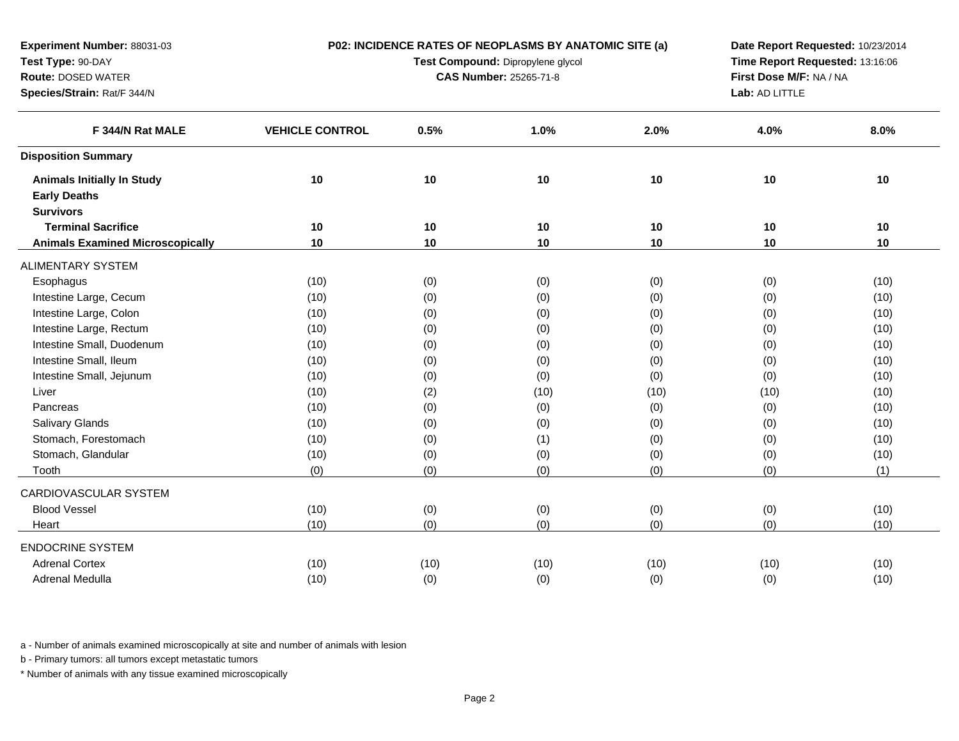| <b>Experiment Number: 88031-03</b><br>Test Type: 90-DAY  | P02: INCIDENCE RATES OF NEOPLASMS BY ANATOMIC SITE (a)<br>Test Compound: Dipropylene glycol |      |                               |      | Date Report Requested: 10/23/2014<br>Time Report Requested: 13:16:06 |                                                                                                                                                               |  |
|----------------------------------------------------------|---------------------------------------------------------------------------------------------|------|-------------------------------|------|----------------------------------------------------------------------|---------------------------------------------------------------------------------------------------------------------------------------------------------------|--|
| <b>Route: DOSED WATER</b>                                |                                                                                             |      | <b>CAS Number: 25265-71-8</b> |      | First Dose M/F: NA / NA                                              | 8.0%<br>10<br>10<br>10<br>(10)<br>(10)<br>(10)<br>(10)<br>(10)<br>(10)<br>(10)<br>(10)<br>(10)<br>(10)<br>(10)<br>(10)<br>(1)<br>(10)<br>(10)<br>(10)<br>(10) |  |
| Species/Strain: Rat/F 344/N                              |                                                                                             |      |                               |      | Lab: AD LITTLE                                                       |                                                                                                                                                               |  |
| F 344/N Rat MALE                                         | <b>VEHICLE CONTROL</b>                                                                      | 0.5% | 1.0%                          | 2.0% | 4.0%                                                                 |                                                                                                                                                               |  |
| <b>Disposition Summary</b>                               |                                                                                             |      |                               |      |                                                                      |                                                                                                                                                               |  |
| <b>Animals Initially In Study</b><br><b>Early Deaths</b> | 10                                                                                          | 10   | 10                            | 10   | 10                                                                   |                                                                                                                                                               |  |
| <b>Survivors</b><br><b>Terminal Sacrifice</b>            | 10                                                                                          | 10   | 10                            | 10   | 10                                                                   |                                                                                                                                                               |  |
| <b>Animals Examined Microscopically</b>                  | 10                                                                                          | 10   | 10                            | 10   | 10                                                                   |                                                                                                                                                               |  |
| ALIMENTARY SYSTEM                                        |                                                                                             |      |                               |      |                                                                      |                                                                                                                                                               |  |
| Esophagus                                                | (10)                                                                                        | (0)  | (0)                           | (0)  | (0)                                                                  |                                                                                                                                                               |  |
| Intestine Large, Cecum                                   | (10)                                                                                        | (0)  | (0)                           | (0)  | (0)                                                                  |                                                                                                                                                               |  |
| Intestine Large, Colon                                   | (10)                                                                                        | (0)  | (0)                           | (0)  | (0)                                                                  |                                                                                                                                                               |  |
| Intestine Large, Rectum                                  | (10)                                                                                        | (0)  | (0)                           | (0)  | (0)                                                                  |                                                                                                                                                               |  |
| Intestine Small, Duodenum                                | (10)                                                                                        | (0)  | (0)                           | (0)  | (0)                                                                  |                                                                                                                                                               |  |
| Intestine Small, Ileum                                   | (10)                                                                                        | (0)  | (0)                           | (0)  | (0)                                                                  |                                                                                                                                                               |  |
| Intestine Small, Jejunum                                 | (10)                                                                                        | (0)  | (0)                           | (0)  | (0)                                                                  |                                                                                                                                                               |  |
| Liver                                                    | (10)                                                                                        | (2)  | (10)                          | (10) | (10)                                                                 |                                                                                                                                                               |  |
| Pancreas                                                 | (10)                                                                                        | (0)  | (0)                           | (0)  | (0)                                                                  |                                                                                                                                                               |  |
| Salivary Glands                                          | (10)                                                                                        | (0)  | (0)                           | (0)  | (0)                                                                  |                                                                                                                                                               |  |
| Stomach, Forestomach                                     | (10)                                                                                        | (0)  | (1)                           | (0)  | (0)                                                                  |                                                                                                                                                               |  |
| Stomach, Glandular                                       | (10)                                                                                        | (0)  | (0)                           | (0)  | (0)                                                                  |                                                                                                                                                               |  |
| Tooth                                                    | (0)                                                                                         | (0)  | (0)                           | (0)  | (0)                                                                  |                                                                                                                                                               |  |
| CARDIOVASCULAR SYSTEM                                    |                                                                                             |      |                               |      |                                                                      |                                                                                                                                                               |  |
| <b>Blood Vessel</b>                                      | (10)                                                                                        | (0)  | (0)                           | (0)  | (0)                                                                  |                                                                                                                                                               |  |
| Heart                                                    | (10)                                                                                        | (0)  | (0)                           | (0)  | (0)                                                                  |                                                                                                                                                               |  |
| <b>ENDOCRINE SYSTEM</b>                                  |                                                                                             |      |                               |      |                                                                      |                                                                                                                                                               |  |
| <b>Adrenal Cortex</b>                                    | (10)                                                                                        | (10) | (10)                          | (10) | (10)                                                                 |                                                                                                                                                               |  |
| Adrenal Medulla                                          | (10)                                                                                        | (0)  | (0)                           | (0)  | (0)                                                                  |                                                                                                                                                               |  |
|                                                          |                                                                                             |      |                               |      |                                                                      |                                                                                                                                                               |  |

b - Primary tumors: all tumors except metastatic tumors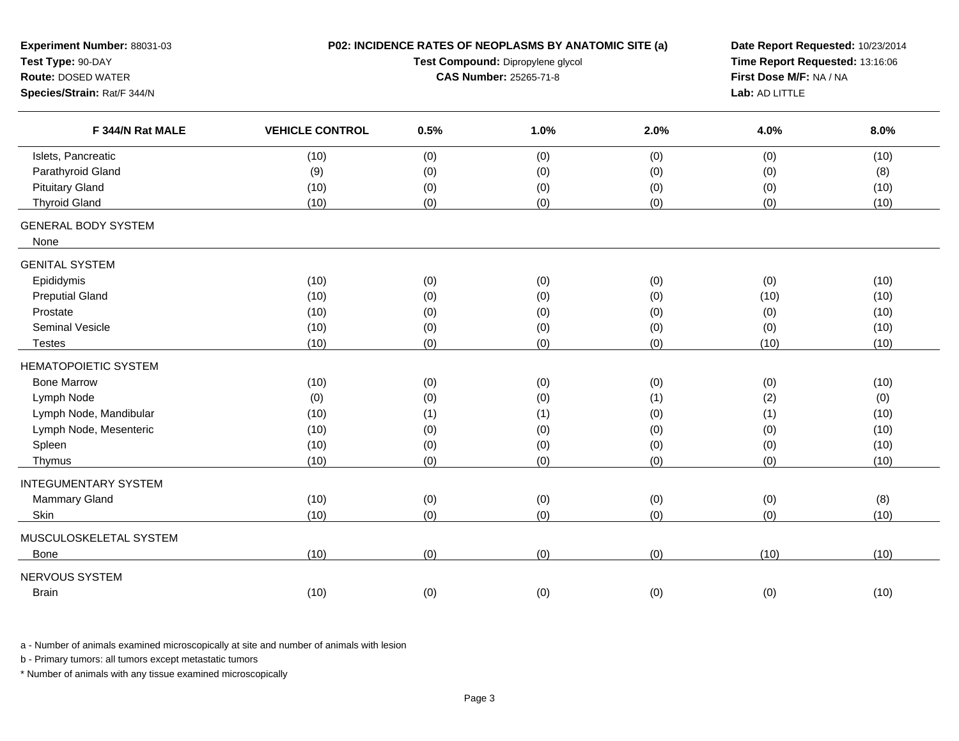| Experiment Number: 88031-03<br>Test Type: 90-DAY<br><b>Route: DOSED WATER</b><br>Species/Strain: Rat/F 344/N | P02: INCIDENCE RATES OF NEOPLASMS BY ANATOMIC SITE (a)<br>Test Compound: Dipropylene glycol<br><b>CAS Number: 25265-71-8</b> |      |      |      | Date Report Requested: 10/23/2014<br>Time Report Requested: 13:16:06<br>First Dose M/F: NA / NA<br>Lab: AD LITTLE |      |
|--------------------------------------------------------------------------------------------------------------|------------------------------------------------------------------------------------------------------------------------------|------|------|------|-------------------------------------------------------------------------------------------------------------------|------|
| F 344/N Rat MALE                                                                                             | <b>VEHICLE CONTROL</b>                                                                                                       | 0.5% | 1.0% | 2.0% | 4.0%                                                                                                              | 8.0% |
| Islets, Pancreatic                                                                                           | (10)                                                                                                                         | (0)  | (0)  | (0)  | (0)                                                                                                               | (10) |
| Parathyroid Gland                                                                                            | (9)                                                                                                                          | (0)  | (0)  | (0)  | (0)                                                                                                               | (8)  |
| <b>Pituitary Gland</b>                                                                                       | (10)                                                                                                                         | (0)  | (0)  | (0)  | (0)                                                                                                               | (10) |
| <b>Thyroid Gland</b>                                                                                         | (10)                                                                                                                         | (0)  | (0)  | (0)  | (0)                                                                                                               | (10) |
| <b>GENERAL BODY SYSTEM</b><br>None                                                                           |                                                                                                                              |      |      |      |                                                                                                                   |      |
| <b>GENITAL SYSTEM</b>                                                                                        |                                                                                                                              |      |      |      |                                                                                                                   |      |
| Epididymis                                                                                                   | (10)                                                                                                                         | (0)  | (0)  | (0)  | (0)                                                                                                               | (10) |
| <b>Preputial Gland</b>                                                                                       | (10)                                                                                                                         | (0)  | (0)  | (0)  | (10)                                                                                                              | (10) |
| Prostate                                                                                                     | (10)                                                                                                                         | (0)  | (0)  | (0)  | (0)                                                                                                               | (10) |
| <b>Seminal Vesicle</b>                                                                                       | (10)                                                                                                                         | (0)  | (0)  | (0)  | (0)                                                                                                               | (10) |
| <b>Testes</b>                                                                                                | (10)                                                                                                                         | (0)  | (0)  | (0)  | (10)                                                                                                              | (10) |
| <b>HEMATOPOIETIC SYSTEM</b>                                                                                  |                                                                                                                              |      |      |      |                                                                                                                   |      |
| <b>Bone Marrow</b>                                                                                           | (10)                                                                                                                         | (0)  | (0)  | (0)  | (0)                                                                                                               | (10) |
| Lymph Node                                                                                                   | (0)                                                                                                                          | (0)  | (0)  | (1)  | (2)                                                                                                               | (0)  |
| Lymph Node, Mandibular                                                                                       | (10)                                                                                                                         | (1)  | (1)  | (0)  | (1)                                                                                                               | (10) |
| Lymph Node, Mesenteric                                                                                       | (10)                                                                                                                         | (0)  | (0)  | (0)  | (0)                                                                                                               | (10) |
| Spleen                                                                                                       | (10)                                                                                                                         | (0)  | (0)  | (0)  | (0)                                                                                                               | (10) |
| Thymus                                                                                                       | (10)                                                                                                                         | (0)  | (0)  | (0)  | (0)                                                                                                               | (10) |
| <b>INTEGUMENTARY SYSTEM</b>                                                                                  |                                                                                                                              |      |      |      |                                                                                                                   |      |
| Mammary Gland                                                                                                | (10)                                                                                                                         | (0)  | (0)  | (0)  | (0)                                                                                                               | (8)  |
| Skin                                                                                                         | (10)                                                                                                                         | (0)  | (0)  | (0)  | (0)                                                                                                               | (10) |
| MUSCULOSKELETAL SYSTEM                                                                                       |                                                                                                                              |      |      |      |                                                                                                                   |      |
| Bone                                                                                                         | (10)                                                                                                                         | (0)  | (0)  | (0)  | (10)                                                                                                              | (10) |
| NERVOUS SYSTEM                                                                                               |                                                                                                                              |      |      |      |                                                                                                                   |      |
| <b>Brain</b>                                                                                                 | (10)                                                                                                                         | (0)  | (0)  | (0)  | (0)                                                                                                               | (10) |

b - Primary tumors: all tumors except metastatic tumors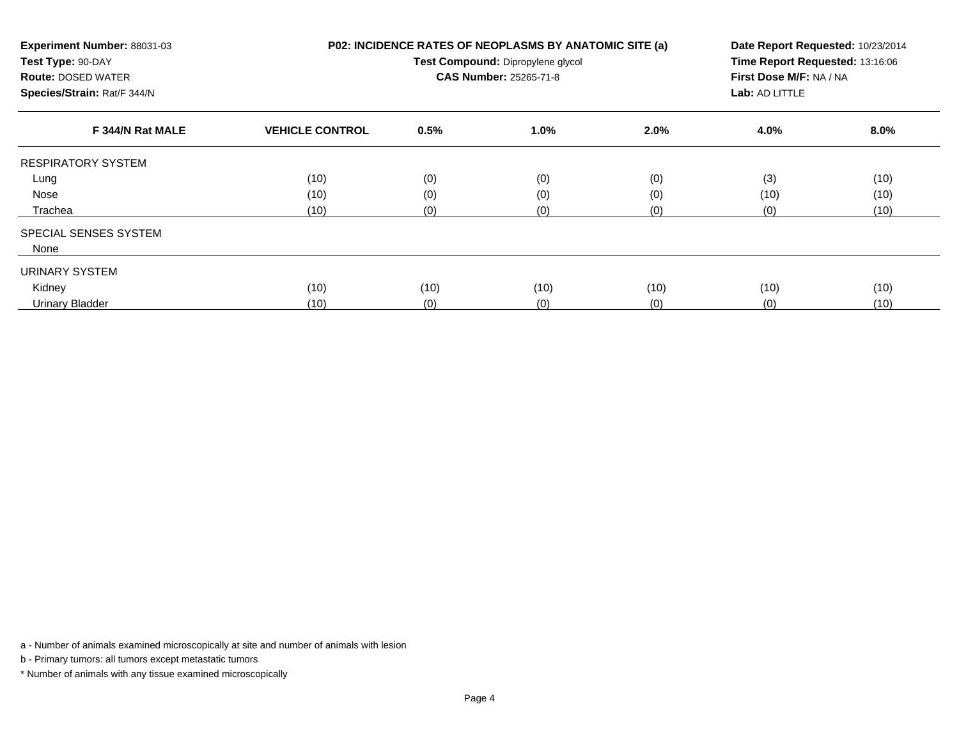| Experiment Number: 88031-03<br>Test Type: 90-DAY<br><b>Route: DOSED WATER</b><br>Species/Strain: Rat/F 344/N |                        | P02: INCIDENCE RATES OF NEOPLASMS BY ANATOMIC SITE (a)<br>Date Report Requested: 10/23/2014<br>Time Report Requested: 13:16:06<br>Test Compound: Dipropylene glycol<br>CAS Number: 25265-71-8<br>First Dose M/F: NA / NA<br>Lab: AD LITTLE |      |      |      |         |
|--------------------------------------------------------------------------------------------------------------|------------------------|--------------------------------------------------------------------------------------------------------------------------------------------------------------------------------------------------------------------------------------------|------|------|------|---------|
| F 344/N Rat MALE                                                                                             | <b>VEHICLE CONTROL</b> | 0.5%                                                                                                                                                                                                                                       | 1.0% | 2.0% | 4.0% | $8.0\%$ |
| <b>RESPIRATORY SYSTEM</b>                                                                                    |                        |                                                                                                                                                                                                                                            |      |      |      |         |
| Lung                                                                                                         | (10)                   | (0)                                                                                                                                                                                                                                        | (0)  | (0)  | (3)  | (10)    |
| Nose                                                                                                         | (10)                   | (0)                                                                                                                                                                                                                                        | (0)  | (0)  | (10) | (10)    |
| Trachea                                                                                                      | (10)                   | (0)                                                                                                                                                                                                                                        | (0)  | (0)  | (0)  | (10)    |
| <b>SPECIAL SENSES SYSTEM</b>                                                                                 |                        |                                                                                                                                                                                                                                            |      |      |      |         |
| None                                                                                                         |                        |                                                                                                                                                                                                                                            |      |      |      |         |
| URINARY SYSTEM                                                                                               |                        |                                                                                                                                                                                                                                            |      |      |      |         |
| Kidney                                                                                                       | (10)                   | (10)                                                                                                                                                                                                                                       | (10) | (10) | (10) | (10)    |
| Urinary Bladder                                                                                              | (10)                   | (0)                                                                                                                                                                                                                                        | (0)  | (0)  | (0)  | (10)    |

b - Primary tumors: all tumors except metastatic tumors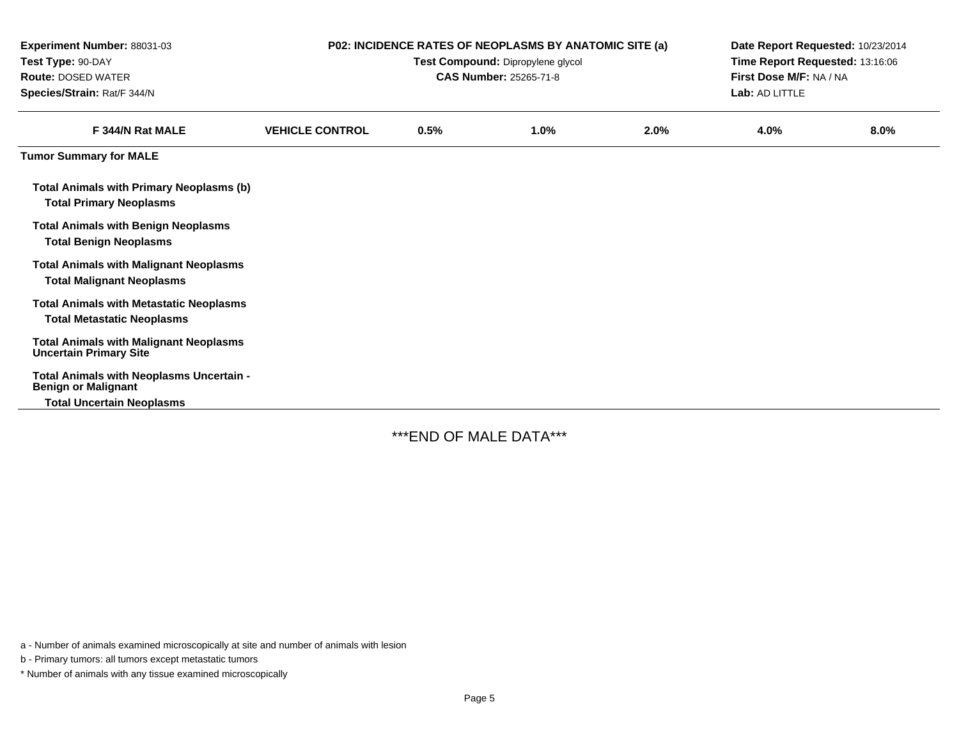| Experiment Number: 88031-03<br>Test Type: 90-DAY<br><b>Route: DOSED WATER</b><br>Species/Strain: Rat/F 344/N |                        | P02: INCIDENCE RATES OF NEOPLASMS BY ANATOMIC SITE (a)<br>Test Compound: Dipropylene glycol<br>CAS Number: 25265-71-8 | Date Report Requested: 10/23/2014<br>Time Report Requested: 13:16:06<br>First Dose M/F: NA / NA<br>Lab: AD LITTLE |      |      |         |
|--------------------------------------------------------------------------------------------------------------|------------------------|-----------------------------------------------------------------------------------------------------------------------|-------------------------------------------------------------------------------------------------------------------|------|------|---------|
| F 344/N Rat MALE                                                                                             | <b>VEHICLE CONTROL</b> | 0.5%                                                                                                                  | 1.0%                                                                                                              | 2.0% | 4.0% | $8.0\%$ |
| <b>Tumor Summary for MALE</b>                                                                                |                        |                                                                                                                       |                                                                                                                   |      |      |         |
| <b>Total Animals with Primary Neoplasms (b)</b><br><b>Total Primary Neoplasms</b>                            |                        |                                                                                                                       |                                                                                                                   |      |      |         |
| <b>Total Animals with Benign Neoplasms</b><br><b>Total Benign Neoplasms</b>                                  |                        |                                                                                                                       |                                                                                                                   |      |      |         |
| <b>Total Animals with Malignant Neoplasms</b><br><b>Total Malignant Neoplasms</b>                            |                        |                                                                                                                       |                                                                                                                   |      |      |         |
| <b>Total Animals with Metastatic Neoplasms</b><br><b>Total Metastatic Neoplasms</b>                          |                        |                                                                                                                       |                                                                                                                   |      |      |         |
| <b>Total Animals with Malignant Neoplasms</b><br><b>Uncertain Primary Site</b>                               |                        |                                                                                                                       |                                                                                                                   |      |      |         |
| Total Animals with Neoplasms Uncertain -<br><b>Benign or Malignant</b>                                       |                        |                                                                                                                       |                                                                                                                   |      |      |         |
| <b>Total Uncertain Neoplasms</b>                                                                             |                        |                                                                                                                       |                                                                                                                   |      |      |         |

\*\*\*END OF MALE DATA\*\*\*

a - Number of animals examined microscopically at site and number of animals with lesion

b - Primary tumors: all tumors except metastatic tumors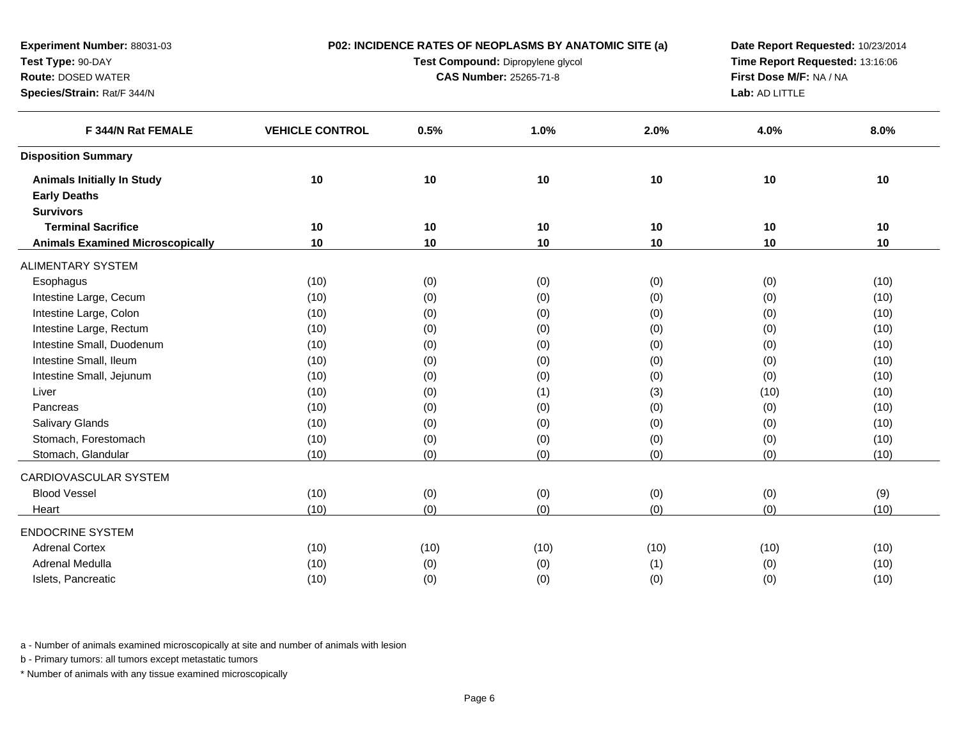| Experiment Number: 88031-03             | P02: INCIDENCE RATES OF NEOPLASMS BY ANATOMIC SITE (a) |      |                                   |      |                                                                                                                                                                    |      |  |  |  |
|-----------------------------------------|--------------------------------------------------------|------|-----------------------------------|------|--------------------------------------------------------------------------------------------------------------------------------------------------------------------|------|--|--|--|
| Test Type: 90-DAY                       |                                                        |      | Test Compound: Dipropylene glycol |      | Time Report Requested: 13:16:06                                                                                                                                    |      |  |  |  |
| <b>Route: DOSED WATER</b>               |                                                        |      | <b>CAS Number: 25265-71-8</b>     |      |                                                                                                                                                                    |      |  |  |  |
| Species/Strain: Rat/F 344/N             |                                                        |      |                                   |      | Date Report Requested: 10/23/2014<br>First Dose M/F: NA / NA<br>Lab: AD LITTLE<br>8.0%<br>4.0%<br>10<br>$10$<br>10<br>10<br>10<br>10<br>(0)<br>(10)<br>(10)<br>(0) |      |  |  |  |
| F 344/N Rat FEMALE                      | <b>VEHICLE CONTROL</b>                                 | 0.5% | 1.0%                              | 2.0% |                                                                                                                                                                    |      |  |  |  |
| <b>Disposition Summary</b>              |                                                        |      |                                   |      |                                                                                                                                                                    |      |  |  |  |
| <b>Animals Initially In Study</b>       | 10                                                     | $10$ | 10                                | $10$ |                                                                                                                                                                    |      |  |  |  |
| <b>Early Deaths</b>                     |                                                        |      |                                   |      |                                                                                                                                                                    |      |  |  |  |
| <b>Survivors</b>                        |                                                        |      |                                   |      |                                                                                                                                                                    |      |  |  |  |
| <b>Terminal Sacrifice</b>               | 10                                                     | 10   | 10                                | 10   |                                                                                                                                                                    |      |  |  |  |
| <b>Animals Examined Microscopically</b> | 10                                                     | 10   | 10                                | 10   |                                                                                                                                                                    |      |  |  |  |
| ALIMENTARY SYSTEM                       |                                                        |      |                                   |      |                                                                                                                                                                    |      |  |  |  |
| Esophagus                               | (10)                                                   | (0)  | (0)                               | (0)  |                                                                                                                                                                    |      |  |  |  |
| Intestine Large, Cecum                  | (10)                                                   | (0)  | (0)                               | (0)  |                                                                                                                                                                    |      |  |  |  |
| Intestine Large, Colon                  | (10)                                                   | (0)  | (0)                               | (0)  | (0)                                                                                                                                                                | (10) |  |  |  |
| Intestine Large, Rectum                 | (10)                                                   | (0)  | (0)                               | (0)  | (0)                                                                                                                                                                | (10) |  |  |  |
| Intestine Small, Duodenum               | (10)                                                   | (0)  | (0)                               | (0)  | (0)                                                                                                                                                                | (10) |  |  |  |
| Intestine Small, Ileum                  | (10)                                                   | (0)  | (0)                               | (0)  | (0)                                                                                                                                                                | (10) |  |  |  |
| Intestine Small, Jejunum                | (10)                                                   | (0)  | (0)                               | (0)  | (0)                                                                                                                                                                | (10) |  |  |  |
| Liver                                   | (10)                                                   | (0)  | (1)                               | (3)  | (10)                                                                                                                                                               | (10) |  |  |  |
| Pancreas                                | (10)                                                   | (0)  | (0)                               | (0)  | (0)                                                                                                                                                                | (10) |  |  |  |
| Salivary Glands                         | (10)                                                   | (0)  | (0)                               | (0)  | (0)                                                                                                                                                                | (10) |  |  |  |
| Stomach, Forestomach                    | (10)                                                   | (0)  | (0)                               | (0)  | (0)                                                                                                                                                                | (10) |  |  |  |
| Stomach, Glandular                      | (10)                                                   | (0)  | (0)                               | (0)  | (0)                                                                                                                                                                | (10) |  |  |  |
| CARDIOVASCULAR SYSTEM                   |                                                        |      |                                   |      |                                                                                                                                                                    |      |  |  |  |
| <b>Blood Vessel</b>                     | (10)                                                   | (0)  | (0)                               | (0)  | (0)                                                                                                                                                                | (9)  |  |  |  |
| Heart                                   | (10)                                                   | (0)  | (0)                               | (0)  | (0)                                                                                                                                                                | (10) |  |  |  |
| <b>ENDOCRINE SYSTEM</b>                 |                                                        |      |                                   |      |                                                                                                                                                                    |      |  |  |  |
| <b>Adrenal Cortex</b>                   | (10)                                                   | (10) | (10)                              | (10) | (10)                                                                                                                                                               | (10) |  |  |  |
| Adrenal Medulla                         | (10)                                                   | (0)  | (0)                               | (1)  | (0)                                                                                                                                                                | (10) |  |  |  |
| Islets, Pancreatic                      | (10)                                                   | (0)  | (0)                               | (0)  | (0)                                                                                                                                                                | (10) |  |  |  |
|                                         |                                                        |      |                                   |      |                                                                                                                                                                    |      |  |  |  |

b - Primary tumors: all tumors except metastatic tumors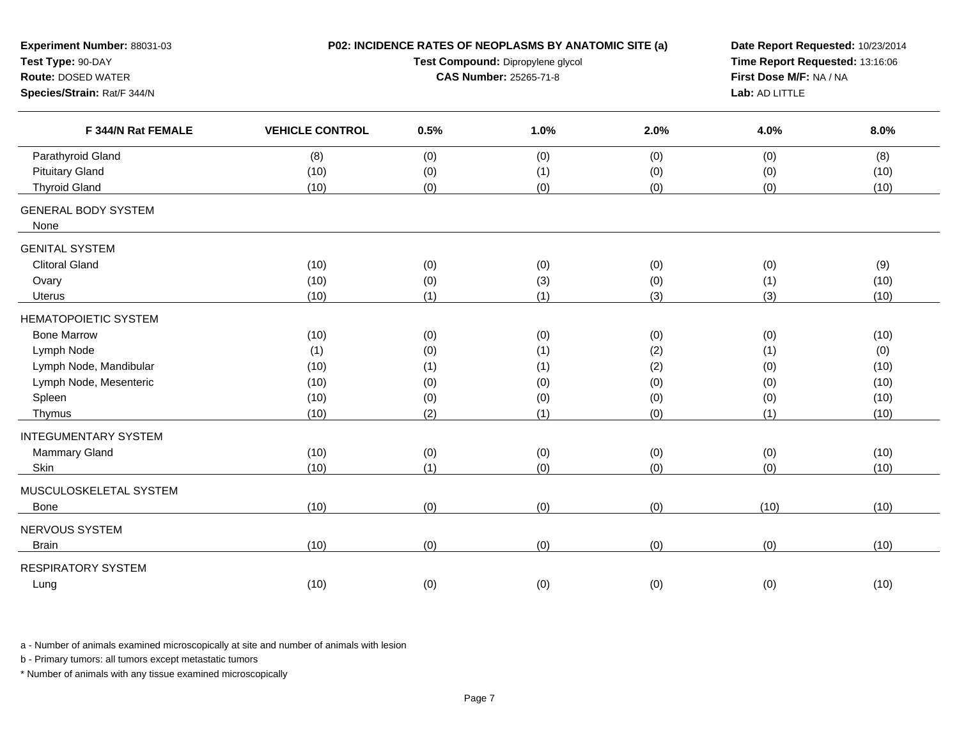| Experiment Number: 88031-03<br>Test Type: 90-DAY<br><b>Route: DOSED WATER</b><br>Species/Strain: Rat/F 344/N | P02: INCIDENCE RATES OF NEOPLASMS BY ANATOMIC SITE (a) | Date Report Requested: 10/23/2014<br>Time Report Requested: 13:16:06<br>First Dose M/F: NA / NA<br>Lab: AD LITTLE |      |      |      |      |
|--------------------------------------------------------------------------------------------------------------|--------------------------------------------------------|-------------------------------------------------------------------------------------------------------------------|------|------|------|------|
| F 344/N Rat FEMALE                                                                                           | <b>VEHICLE CONTROL</b>                                 | 0.5%                                                                                                              | 1.0% | 2.0% | 4.0% | 8.0% |
| Parathyroid Gland                                                                                            | (8)                                                    | (0)                                                                                                               | (0)  | (0)  | (0)  | (8)  |
| <b>Pituitary Gland</b>                                                                                       | (10)                                                   | (0)                                                                                                               | (1)  | (0)  | (0)  | (10) |
| <b>Thyroid Gland</b>                                                                                         | (10)                                                   | (0)                                                                                                               | (0)  | (0)  | (0)  | (10) |
| <b>GENERAL BODY SYSTEM</b><br>None                                                                           |                                                        |                                                                                                                   |      |      |      |      |
| <b>GENITAL SYSTEM</b>                                                                                        |                                                        |                                                                                                                   |      |      |      |      |
| <b>Clitoral Gland</b>                                                                                        | (10)                                                   | (0)                                                                                                               | (0)  | (0)  | (0)  | (9)  |
| Ovary                                                                                                        | (10)                                                   | (0)                                                                                                               | (3)  | (0)  | (1)  | (10) |
| Uterus                                                                                                       | (10)                                                   | (1)                                                                                                               | (1)  | (3)  | (3)  | (10) |
| <b>HEMATOPOIETIC SYSTEM</b>                                                                                  |                                                        |                                                                                                                   |      |      |      |      |
| <b>Bone Marrow</b>                                                                                           | (10)                                                   | (0)                                                                                                               | (0)  | (0)  | (0)  | (10) |
| Lymph Node                                                                                                   | (1)                                                    | (0)                                                                                                               | (1)  | (2)  | (1)  | (0)  |
| Lymph Node, Mandibular                                                                                       | (10)                                                   | (1)                                                                                                               | (1)  | (2)  | (0)  | (10) |
| Lymph Node, Mesenteric                                                                                       | (10)                                                   | (0)                                                                                                               | (0)  | (0)  | (0)  | (10) |
| Spleen                                                                                                       | (10)                                                   | (0)                                                                                                               | (0)  | (0)  | (0)  | (10) |
| Thymus                                                                                                       | (10)                                                   | (2)                                                                                                               | (1)  | (0)  | (1)  | (10) |
| <b>INTEGUMENTARY SYSTEM</b>                                                                                  |                                                        |                                                                                                                   |      |      |      |      |
| Mammary Gland                                                                                                | (10)                                                   | (0)                                                                                                               | (0)  | (0)  | (0)  | (10) |
| Skin                                                                                                         | (10)                                                   | (1)                                                                                                               | (0)  | (0)  | (0)  | (10) |
| MUSCULOSKELETAL SYSTEM                                                                                       |                                                        |                                                                                                                   |      |      |      |      |
| Bone                                                                                                         | (10)                                                   | (0)                                                                                                               | (0)  | (0)  | (10) | (10) |
| NERVOUS SYSTEM                                                                                               |                                                        |                                                                                                                   |      |      |      |      |
| <b>Brain</b>                                                                                                 | (10)                                                   | (0)                                                                                                               | (0)  | (0)  | (0)  | (10) |
| <b>RESPIRATORY SYSTEM</b>                                                                                    |                                                        |                                                                                                                   |      |      |      |      |
| Lung                                                                                                         | (10)                                                   | (0)                                                                                                               | (0)  | (0)  | (0)  | (10) |

b - Primary tumors: all tumors except metastatic tumors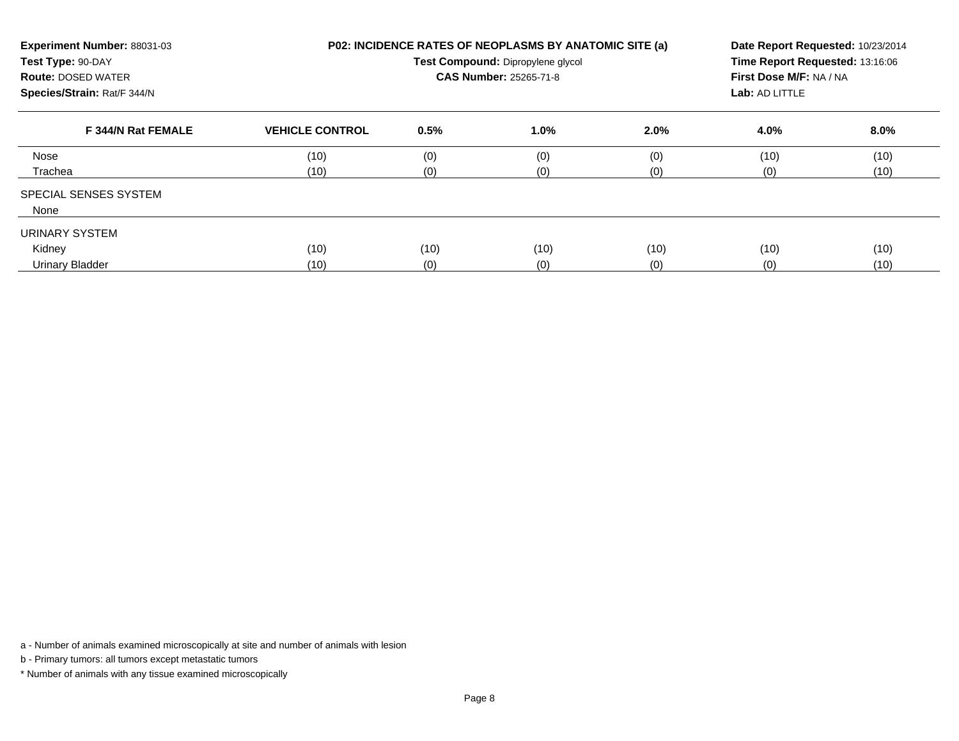| Experiment Number: 88031-03<br>Test Type: 90-DAY<br><b>Route: DOSED WATER</b><br>Species/Strain: Rat/F 344/N |                        |      | P02: INCIDENCE RATES OF NEOPLASMS BY ANATOMIC SITE (a)<br>Test Compound: Dipropylene glycol<br><b>CAS Number: 25265-71-8</b> |      | Date Report Requested: 10/23/2014<br>Time Report Requested: 13:16:06<br>First Dose M/F: NA / NA<br>Lab: AD LITTLE |         |  |
|--------------------------------------------------------------------------------------------------------------|------------------------|------|------------------------------------------------------------------------------------------------------------------------------|------|-------------------------------------------------------------------------------------------------------------------|---------|--|
| F 344/N Rat FEMALE                                                                                           | <b>VEHICLE CONTROL</b> | 0.5% | 1.0%                                                                                                                         | 2.0% | 4.0%                                                                                                              | $8.0\%$ |  |
| Nose                                                                                                         | (10)                   | (0)  | (0)                                                                                                                          | (0)  | (10)                                                                                                              | (10)    |  |
| Trachea                                                                                                      | (10)                   | (0)  | (0)                                                                                                                          | (0)  | (0)                                                                                                               | (10)    |  |
| <b>SPECIAL SENSES SYSTEM</b><br>None                                                                         |                        |      |                                                                                                                              |      |                                                                                                                   |         |  |
| URINARY SYSTEM                                                                                               |                        |      |                                                                                                                              |      |                                                                                                                   |         |  |
| Kidney                                                                                                       | (10)                   | (10) | (10)                                                                                                                         | (10) | (10)                                                                                                              | (10)    |  |
| <b>Urinary Bladder</b>                                                                                       | (10)                   | (0)  | (0)                                                                                                                          | (0)  | (0)                                                                                                               | (10)    |  |

b - Primary tumors: all tumors except metastatic tumors